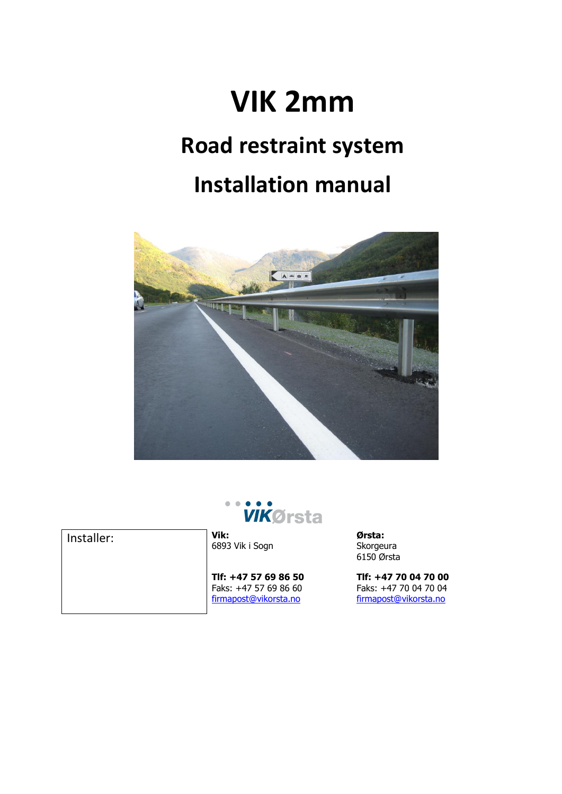# **VIK 2mm**

# **Road restraint system**

# **Installation manual**



**VIKØrsta** 

Installer: **Vik:**

6893 Vik i Sogn

**Tlf: +47 57 69 86 50** Faks: +47 57 69 86 60 [firmapost@vikorsta.no](mailto:firmapost@orsta.com)

**Ørsta:** Skorgeura 6150 Ørsta

**Tlf: +47 70 04 70 00** Faks: +47 70 04 70 04 [firmapost@vikorsta.no](mailto:firmapost@orsta.com)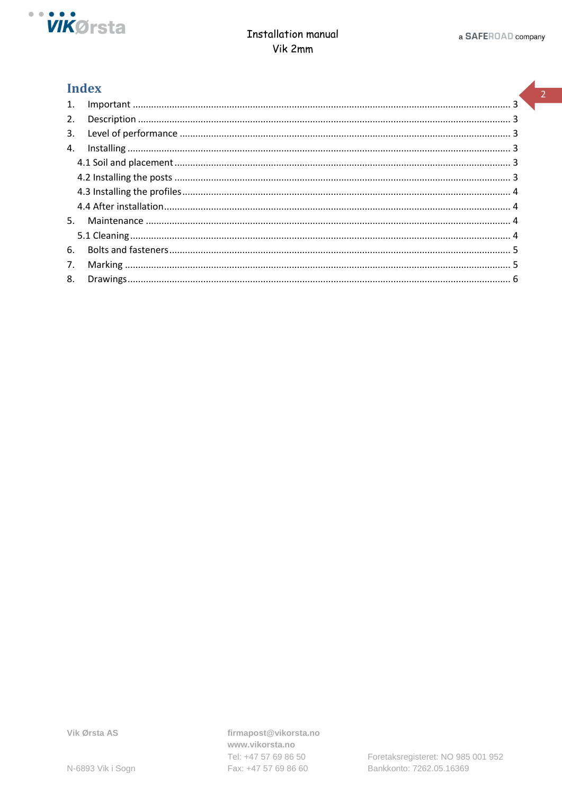

## **Index**

| $\mathbf{1}$ . |  |
|----------------|--|
| 2.             |  |
| 3.             |  |
| 4.             |  |
|                |  |
|                |  |
|                |  |
|                |  |
| 5.             |  |
|                |  |
| 6.             |  |
| 7.             |  |
| 8.             |  |

firmapost@vikorsta.no www.vikorsta.no Tel: +47 57 69 86 50 Fax: +47 57 69 86 60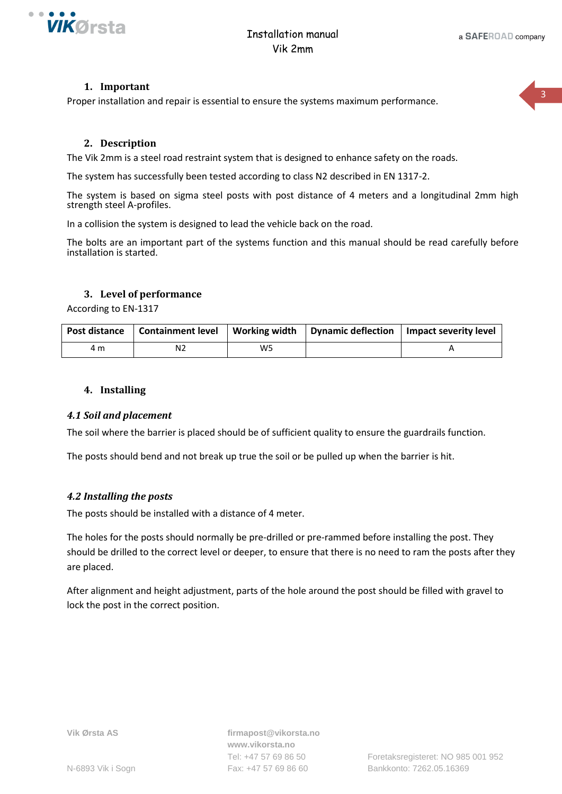

 $\mathbf{R}$ 

#### **1. Important**

<span id="page-2-0"></span>Proper installation and repair is essential to ensure the systems maximum performance.

#### **2. Description**

<span id="page-2-1"></span>The Vik 2mm is a steel road restraint system that is designed to enhance safety on the roads.

The system has successfully been tested according to class N2 described in EN 1317-2.

The system is based on sigma steel posts with post distance of 4 meters and a longitudinal 2mm high strength steel A-profiles.

In a collision the system is designed to lead the vehicle back on the road.

The bolts are an important part of the systems function and this manual should be read carefully before installation is started.

#### **3. Level of performance**

<span id="page-2-2"></span>According to EN-1317

| Post distance | <b>Containment level</b> |    | Working width   Dynamic deflection   Impact severity level |
|---------------|--------------------------|----|------------------------------------------------------------|
| 4 m           |                          | W5 |                                                            |

#### <span id="page-2-3"></span>**4. Installing**

#### <span id="page-2-4"></span>*4.1 Soil and placement*

The soil where the barrier is placed should be of sufficient quality to ensure the guardrails function.

The posts should bend and not break up true the soil or be pulled up when the barrier is hit.

#### <span id="page-2-5"></span>*4.2 Installing the posts*

The posts should be installed with a distance of 4 meter.

The holes for the posts should normally be pre-drilled or pre-rammed before installing the post. They should be drilled to the correct level or deeper, to ensure that there is no need to ram the posts after they are placed.

After alignment and height adjustment, parts of the hole around the post should be filled with gravel to lock the post in the correct position.

**Vik Ørsta AS firmapost@vikorsta.no www.vikorsta.no**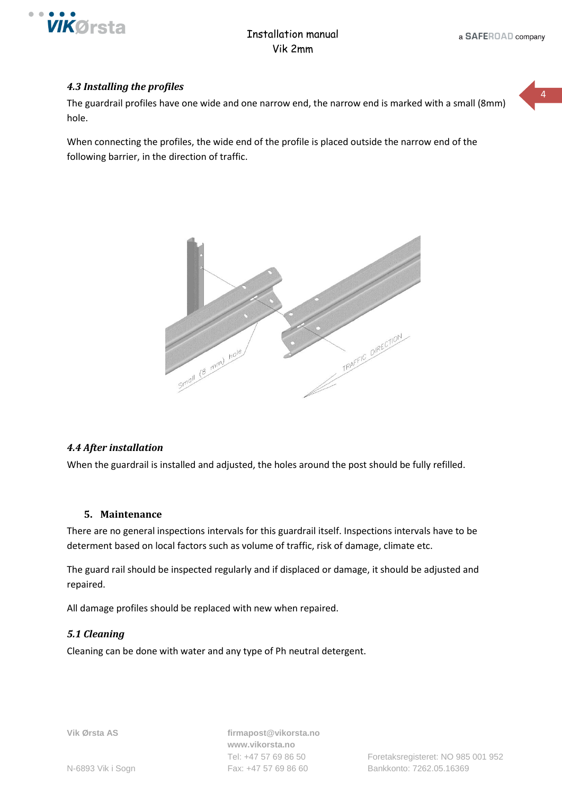

 $\overline{A}$ 

#### <span id="page-3-0"></span>*4.3 Installing the profiles*

The guardrail profiles have one wide and one narrow end, the narrow end is marked with a small (8mm) hole.

When connecting the profiles, the wide end of the profile is placed outside the narrow end of the following barrier, in the direction of traffic.



#### <span id="page-3-1"></span>*4.4 After installation*

When the guardrail is installed and adjusted, the holes around the post should be fully refilled.

#### **5. Maintenance**

<span id="page-3-2"></span>There are no general inspections intervals for this guardrail itself. Inspections intervals have to be determent based on local factors such as volume of traffic, risk of damage, climate etc.

The guard rail should be inspected regularly and if displaced or damage, it should be adjusted and repaired.

All damage profiles should be replaced with new when repaired.

#### <span id="page-3-3"></span>*5.1 Cleaning*

Cleaning can be done with water and any type of Ph neutral detergent.

**Vik Ørsta AS firmapost@vikorsta.no www.vikorsta.no**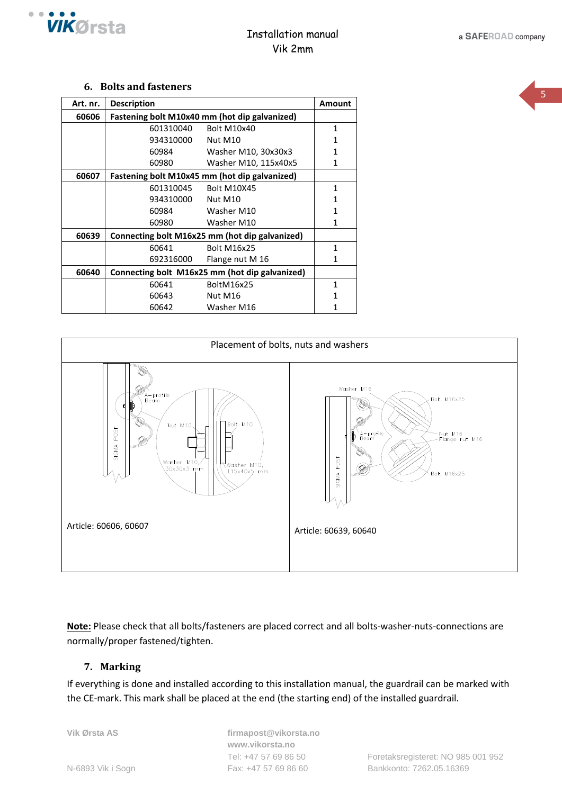

#### **6. Bolts and fasteners**

<span id="page-4-0"></span>

| Art. nr. | <b>Description</b>                             |                      |   |  |  |
|----------|------------------------------------------------|----------------------|---|--|--|
| 60606    | Fastening bolt M10x40 mm (hot dip galvanized)  |                      |   |  |  |
|          | 601310040                                      | Bolt M10x40          | 1 |  |  |
|          | 934310000                                      | Nut M10              |   |  |  |
|          | 60984                                          | Washer M10, 30x30x3  |   |  |  |
|          | 60980                                          | Washer M10, 115x40x5 | 1 |  |  |
| 60607    | Fastening bolt M10x45 mm (hot dip galvanized)  |                      |   |  |  |
|          | 601310045                                      | <b>Bolt M10X45</b>   | 1 |  |  |
|          | 934310000                                      | Nut M <sub>10</sub>  |   |  |  |
|          | 60984                                          | Washer M10           |   |  |  |
|          | 60980                                          | Washer M10           |   |  |  |
| 60639    | Connecting bolt M16x25 mm (hot dip galvanized) |                      |   |  |  |
|          | 60641                                          | <b>Bolt M16x25</b>   | 1 |  |  |
|          | 692316000                                      | Flange nut M 16      |   |  |  |
| 60640    | Connecting bolt M16x25 mm (hot dip galvanized) |                      |   |  |  |
|          | 60641                                          | BoltM16x25           |   |  |  |
|          | 60643                                          | Nut M16              |   |  |  |
|          | 60642                                          | Washer M16           |   |  |  |



**Note:** Please check that all bolts/fasteners are placed correct and all bolts-washer-nuts-connections are normally/proper fastened/tighten.

### <span id="page-4-1"></span>**7. Marking**

If everything is done and installed according to this installation manual, the guardrail can be marked with the CE-mark. This mark shall be placed at the end (the starting end) of the installed guardrail.

**Vik Ørsta AS firmapost@vikorsta.no www.vikorsta.no**